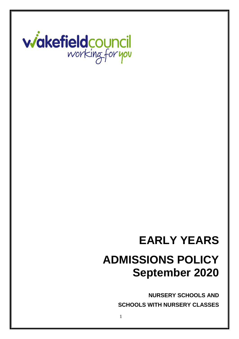

# **EARLY YEARS ADMISSIONS POLICY September 2020**

**NURSERY SCHOOLS AND SCHOOLS WITH NURSERY CLASSES**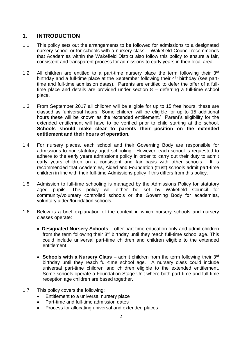# **1. INTRODUCTION**

- 1.1 This policy sets out the arrangements to be followed for admissions to a designated nursery school or for schools with a nursery class. Wakefield Council recommends that Academies within the Wakefield District also follow this policy to ensure a fair, consistent and transparent process for admissions to early years in their local area.
- 1.2 All children are entitled to a part-time nursery place the term following their  $3<sup>rd</sup>$ birthday and a full-time place at the September following their  $4<sup>th</sup>$  birthday (see parttime and full-time admission dates). Parents are entitled to defer the offer of a fulltime place and details are provided under section 8 – deferring a full-time school place.
- 1.3 From September 2017 all children will be eligible for up to 15 free hours, these are classed as 'universal hours.' Some children will be eligible for up to 15 additional hours these will be known as the 'extended entitlement.' Parent's eligibility for the extended entitlement will have to be verified prior to child starting at the school. **Schools should make clear to parents their position on the extended entitlement and their hours of operation.**
- 1.4 For nursery places, each school and their Governing Body are responsible for admissions to non-statutory aged schooling. However, each school is requested to adhere to the early years admissions policy in order to carry out their duty to admit early years children on a consistent and fair basis with other schools. It is recommended that Academies, Aided and Foundation (trust) schools admit part-time children in line with their full-time Admissions policy if this differs from this policy.
- 1.5 Admission to full-time schooling is managed by the Admissions Policy for statutory aged pupils. This policy will either be set by Wakefield Council for community/voluntary controlled schools or the Governing Body for academies, voluntary aided/foundation schools.
- 1.6 Below is a brief explanation of the context in which nursery schools and nursery classes operate:
	- **Designated Nursery Schools**  offer part-time education only and admit children from the term following their  $3<sup>rd</sup>$  birthday until they reach full-time school age. This could include universal part-time children and children eligible to the extended entitlement.
	- **Schools with a Nursery Class** admit children from the term following their 3<sup>rd</sup> birthday until they reach full-time school age. A nursery class could include universal part-time children and children eligible to the extended entitlement. Some schools operate a Foundation Stage Unit where both part-time and full-time reception age children are based together.
- 1.7 This policy covers the following:
	- Entitlement to a universal nursery place
	- Part-time and full-time admission dates
	- Process for allocating universal and extended places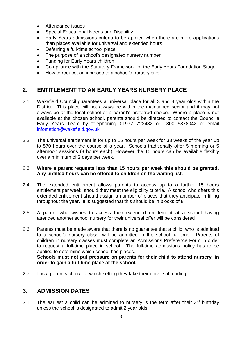- Attendance issues
- Special Educational Needs and Disability
- Early Years admissions criteria to be applied when there are more applications than places available for universal and extended hours
- Deferring a full-time school place
- The purpose of a school's designated nursery number
- Funding for Early Years children
- Compliance with the Statutory Framework for the Early Years Foundation Stage
- How to request an increase to a school's nursery size

# **2. ENTITLEMENT TO AN EARLY YEARS NURSERY PLACE**

- 2.1 Wakefield Council guarantees a universal place for all 3 and 4 year olds within the District. This place will not always be within the maintained sector and it may not always be at the local school or a parent's preferred choice. Where a place is not available at the chosen school, parents should be directed to contact the Council's Early Years Team by telephoning 01977 723482 or 0800 5878042 or email [infomation@wakefield.gov.uk](mailto:infomation@wakefield.gov.uk)
- 2.2 The universal entitlement is for up to 15 hours per week for 38 weeks of the year up to 570 hours over the course of a year. Schools traditionally offer 5 morning or 5 afternoon sessions (3 hours each). However the 15 hours can be available flexibly over a minimum of 2 days per week.

#### 2.3 **Where a parent requests less than 15 hours per week this should be granted. Any unfilled hours can be offered to children on the waiting list.**

- 2.4 The extended entitlement allows parents to access up to a further 15 hours entitlement per week, should they meet the eligibility criteria. A school who offers this extended entitlement should assign a number of places that they anticipate in filling throughout the year. It is suggested that this should be in blocks of 8.
- 2.5 A parent who wishes to access their extended entitlement at a school having attended another school nursery for their universal offer will be considered
- 2.6 Parents must be made aware that there is no guarantee that a child, who is admitted to a school's nursery class, will be admitted to the school full-time. Parents of children in nursery classes must complete an Admissions Preference Form in order to request a full-time place in school. The full-time admissions policy has to be applied to determine which school has places. **Schools must not put pressure on parents for their child to attend nursery, in**

2.7 It is a parent's choice at which setting they take their universal funding.

**order to gain a full-time place at the school.**

# **3. ADMISSION DATES**

3.1 The earliest a child can be admitted to nursery is the term after their  $3<sup>rd</sup>$  birthday unless the school is designated to admit 2 year olds.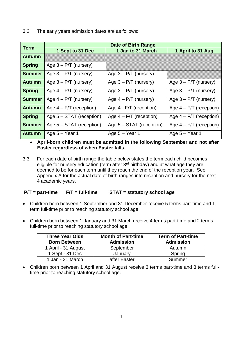3.2 The early years admission dates are as follows:

| <b>Term</b>   | Date of Birth Range        |                            |                           |
|---------------|----------------------------|----------------------------|---------------------------|
|               | 1 Sept to 31 Dec           | 1 Jan to 31 March          | 1 April to 31 Aug         |
| <b>Autumn</b> |                            |                            |                           |
| <b>Spring</b> | Age $3 - P/T$ (nursery)    |                            |                           |
| <b>Summer</b> | Age $3 - P/T$ (nursery)    | Age $3 - P/T$ (nursery)    |                           |
| <b>Autumn</b> | Age $3 - P/T$ (nursery)    | Age $3 - P/T$ (nursery)    | Age $3 - P/T$ (nursery)   |
| <b>Spring</b> | Age $4 - P/T$ (nursery)    | Age $3 - P/T$ (nursery)    | Age $3 - P/T$ (nursery)   |
| <b>Summer</b> | Age $4 - P/T$ (nursery)    | Age $4 - P/T$ (nursery)    | Age $3 - P/T$ (nursery)   |
| <b>Autumn</b> | Age $4 - F/T$ (reception)  | Age 4 - F/T (reception)    | Age $4 - F/T$ (reception) |
| <b>Spring</b> | Age $5 - STAT$ (reception) | Age $4 - F/T$ (reception)  | Age $4 - F/T$ (reception) |
| <b>Summer</b> | Age $5 - STAT$ (reception) | Age $5 - STAT$ (reception) | Age $4 - F/T$ (reception) |
| <b>Autumn</b> | Age $5 -$ Year 1           | Age $5 -$ Year 1           | Age $5 -$ Year 1          |

• **April-born children must be admitted in the following September and not after Easter regardless of when Easter falls.**

3.3 For each date of birth range the table below states the term each child becomes eligible for nursery education (term after  $3<sup>rd</sup>$  birthday) and at what age they are deemed to be for each term until they reach the end of the reception year. See Appendix A for the actual date of birth ranges into reception and nursery for the next 4 academic years.

#### **P/T = part-time F/T = full-time STAT = statutory school age**

- Children born between 1 September and 31 December receive 5 terms part-time and 1 term full-time prior to reaching statutory school age.
- Children born between 1 January and 31 March receive 4 terms part-time and 2 terms full-time prior to reaching statutory school age.

| <b>Three Year Olds</b><br><b>Born Between</b> | <b>Month of Part-time</b><br><b>Admission</b> | <b>Term of Part-time</b><br><b>Admission</b> |
|-----------------------------------------------|-----------------------------------------------|----------------------------------------------|
| 1 April - 31 August                           | September                                     | Autumn                                       |
| 1 Sept - 31 Dec                               | January                                       | Spring                                       |
| 1 Jan - 31 March                              | after Easter                                  | Summer                                       |

• Children born between 1 April and 31 August receive 3 terms part-time and 3 terms fulltime prior to reaching statutory school age.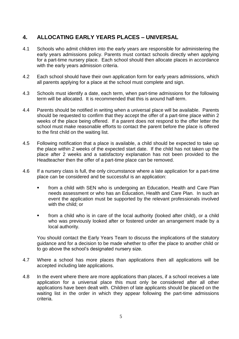# **4. ALLOCATING EARLY YEARS PLACES – UNIVERSAL**

- 4.1 Schools who admit children into the early years are responsible for administering the early years admissions policy. Parents must contact schools directly when applying for a part-time nursery place. Each school should then allocate places in accordance with the early years admission criteria.
- 4.2 Each school should have their own application form for early years admissions, which all parents applying for a place at the school must complete and sign.
- 4.3 Schools must identify a date, each term, when part-time admissions for the following term will be allocated. It is recommended that this is around half-term.
- 4.4 Parents should be notified in writing when a universal place will be available. Parents should be requested to confirm that they accept the offer of a part-time place within 2 weeks of the place being offered. If a parent does not respond to the offer letter the school must make reasonable efforts to contact the parent before the place is offered to the first child on the waiting list.
- 4.5 Following notification that a place is available, a child should be expected to take up the place within 2 weeks of the expected start date. If the child has not taken up the place after 2 weeks and a satisfactory explanation has not been provided to the Headteacher then the offer of a part-time place can be removed.
- 4.6 If a nursery class is full, the only circumstance where a late application for a part-time place can be considered and be successful is an application:
	- from a child with SEN who is undergoing an Education, Health and Care Plan needs assessment or who has an Education, Health and Care Plan. In such an event the application must be supported by the relevant professionals involved with the child; or
	- from a child who is in care of the local authority (looked after child), or a child who was previously looked after or fostered under an arrangement made by a local authority.

You should contact the Early Years Team to discuss the implications of the statutory guidance and for a decision to be made whether to offer the place to another child or to go above the school's designated nursery size.

- 4.7 Where a school has more places than applications then all applications will be accepted including late applications.
- 4.8 In the event where there are more applications than places, if a school receives a late application for a universal place this must only be considered after all other applications have been dealt with. Children of late applicants should be placed on the waiting list in the order in which they appear following the part-time admissions criteria.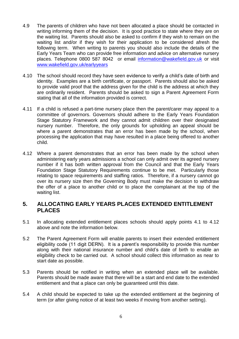- 4.9 The parents of children who have not been allocated a place should be contacted in writing informing them of the decision. It is good practice to state where they are on the waiting list. Parents should also be asked to confirm if they wish to remain on the waiting list and/or if they wish for their application to be considered afresh the following term. When writing to parents you should also include the details of the Early Years Team who can provide free information and advice on alternative nursery places. Telephone 0800 587 8042 or email [information@wakefield.gov.uk](mailto:information@wakefield.gov.uk) or visit [www.wakefield.gov.uk/earlyyears](http://www.wakefield.gov.uk/earlyyears)
- 4.10 The school should record they have seen evidence to verify a child's date of birth and identity. Examples are a birth certificate, or passport. Parents should also be asked to provide valid proof that the address given for the child is the address at which they are ordinarily resident. Parents should be asked to sign a Parent Agreement Form stating that all of the information provided is correct.
- 4.11 If a child is refused a part-time nursery place then the parent/carer may appeal to a committee of governors. Governors should adhere to the Early Years Foundation Stage Statutory Framework and they cannot admit children over their designated nursery number. Therefore, the only grounds for upholding an appeal should be where a parent demonstrates that an error has been made by the school, when processing the application that may have resulted in a place being offered to another child.
- 4.12 Where a parent demonstrates that an error has been made by the school when administering early years admissions a school can only admit over its agreed nursery number if it has both written approval from the Council and that the Early Years Foundation Stage Statutory Requirements continue to be met. Particularly those relating to space requirements and staffing ratios. Therefore, if a nursery cannot go over its nursery size then the Governing Body must make the decision to withdraw the offer of a place to another child or to place the complainant at the top of the waiting list.

# **5. ALLOCATING EARLY YEARS PLACES EXTENDED ENTITLEMENT PLACES**

- 5.1 In allocating extended entitlement places schools should apply points 4.1 to 4.12 above and note the information below.
- 5.2 The Parent Agreement Form will enable parents to insert their extended entitlement eligibility code (11 digit DERN). It is a parent's responsibility to provide this number along with their national insurance number and child's date of birth to enable an eligibility check to be carried out. A school should collect this information as near to start date as possible.
- 5.3 Parents should be notified in writing when an extended place will be available. Parents should be made aware that there will be a start and end date to the extended entitlement and that a place can only be guaranteed until this date.
- 5.4 A child should be expected to take up the extended entitlement at the beginning of term (or after giving notice of at least two weeks if moving from another setting).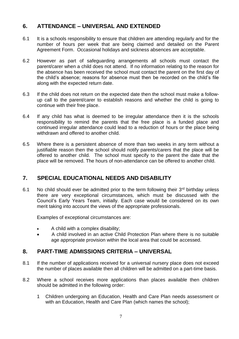# **6. ATTENDANCE – UNIVERSAL AND EXTENDED**

- 6.1 It is a schools responsibility to ensure that children are attending regularly and for the number of hours per week that are being claimed and detailed on the Parent Agreement Form. Occasional holidays and sickness absences are acceptable.
- 6.2 However as part of safeguarding arrangements all schools must contact the parent/carer when a child does not attend. If no information relating to the reason for the absence has been received the school must contact the parent on the first day of the child's absence; reasons for absence must then be recorded on the child's file along with the expected return date.
- 6.3 If the child does not return on the expected date then the school must make a followup call to the parent/carer to establish reasons and whether the child is going to continue with their free place.
- 6.4 If any child has what is deemed to be irregular attendance then it is the schools responsibility to remind the parents that the free place is a funded place and continued irregular attendance could lead to a reduction of hours or the place being withdrawn and offered to another child.
- 6.5 Where there is a persistent absence of more than two weeks in any term without a justifiable reason then the school should notify parents/carers that the place will be offered to another child. The school must specify to the parent the date that the place will be removed. The hours of non-attendance can be offered to another child.

# **7. SPECIAL EDUCATIONAL NEEDS AND DISABILITY**

6.1 No child should ever be admitted prior to the term following their  $3<sup>rd</sup>$  birthday unless there are very exceptional circumstances, which must be discussed with the Council's Early Years Team, initially. Each case would be considered on its own merit taking into account the views of the appropriate professionals.

Examples of exceptional circumstances are:

- A child with a complex disability;
- A child involved in an active Child Protection Plan where there is no suitable age appropriate provision within the local area that could be accessed.

# **8. PART-TIME ADMISSIONS CRITERIA – UNIVERSAL**

- 8.1 If the number of applications received for a universal nursery place does not exceed the number of places available then all children will be admitted on a part-time basis.
- 8.2 Where a school receives more applications than places available then children should be admitted in the following order:
	- 1 Children undergoing an Education, Health and Care Plan needs assessment or with an Education, Health and Care Plan (which names the school);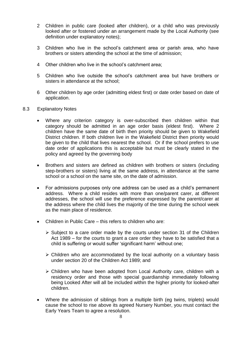- 2 Children in public care (looked after children), or a child who was previously looked after or fostered under an arrangement made by the Local Authority (see definition under explanatory notes);
- 3 Children who live in the school's catchment area or parish area, who have brothers or sisters attending the school at the time of admission;
- 4 Other children who live in the school's catchment area;
- 5 Children who live outside the school's catchment area but have brothers or sisters in attendance at the school;
- 6 Other children by age order (admitting eldest first) or date order based on date of application.
- 8.3 Explanatory Notes
	- Where any criterion category is over-subscribed then children within that category should be admitted in an age order basis (eldest first). Where 2 children have the same date of birth then priority should be given to Wakefield District children. If both children live in the Wakefield District then priority would be given to the child that lives nearest the school. Or if the school prefers to use date order of applications this is acceptable but must be clearly stated in the policy and agreed by the governing body
	- Brothers and sisters are defined as children with brothers or sisters (including step-brothers or sisters) living at the same address, in attendance at the same school or a school on the same site, on the date of admission.
	- For admissions purposes only one address can be used as a child's permanent address. Where a child resides with more than one/parent carer, at different addresses, the school will use the preference expressed by the parent/carer at the address where the child lives the majority of the time during the school week as the main place of residence.
	- Children in Public Care this refers to children who are:
		- ➢ Subject to a care order made by the courts under section 31 of the Children Act 1989 – for the courts to grant a care order they have to be satisfied that a child is suffering or would suffer 'significant harm' without one;
		- ➢ Children who are accommodated by the local authority on a voluntary basis under section 20 of the Children Act 1989; and
		- ➢ Children who have been adopted from Local Authority care, children with a residency order and those with special guardianship immediately following being Looked After will all be included within the higher priority for looked-after children.
	- Where the admission of siblings from a multiple birth (eg twins, triplets) would cause the school to rise above its agreed Nursery Number, you must contact the Early Years Team to agree a resolution.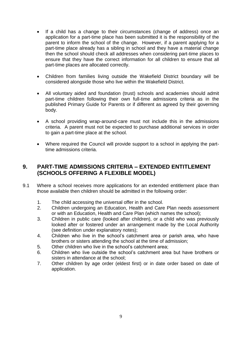- If a child has a change to their circumstances (change of address) once an application for a part-time place has been submitted it is the responsibility of the parent to inform the school of the change. However, if a parent applying for a part-time place already has a sibling in school and they have a material change then the school should check all addresses when considering part-time places to ensure that they have the correct information for all children to ensure that all part-time places are allocated correctly.
- Children from families living outside the Wakefield District boundary will be considered alongside those who live within the Wakefield District.
- All voluntary aided and foundation (trust) schools and academies should admit part-time children following their own full-time admissions criteria as in the published Primary Guide for Parents or if different as agreed by their governing body.
- A school providing wrap-around-care must not include this in the admissions criteria. A parent must not be expected to purchase additional services in order to gain a part-time place at the school.
- Where required the Council will provide support to a school in applying the parttime admissions criteria.

## **9. PART-TIME ADMISSIONS CRITERIA – EXTENDED ENTITLEMENT (SCHOOLS OFFERING A FLEXIBLE MODEL)**

- 9.1 Where a school receives more applications for an extended entitlement place than those available then children should be admitted in the following order:
	- 1. The child accessing the universal offer in the school.
	- 2. Children undergoing an Education, Health and Care Plan needs assessment or with an Education, Health and Care Plan (which names the school);
	- 3. Children in public care (looked after children), or a child who was previously looked after or fostered under an arrangement made by the Local Authority (see definition under explanatory notes);
	- 4. Children who live in the school's catchment area or parish area, who have brothers or sisters attending the school at the time of admission;
	- 5. Other children who live in the school's catchment area;
	- 6. Children who live outside the school's catchment area but have brothers or sisters in attendance at the school;
	- 7. Other children by age order (eldest first) or in date order based on date of application.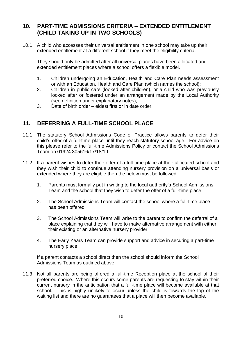# **10. PART-TIME ADMISSIONS CRITERIA – EXTENDED ENTITLEMENT (CHILD TAKING UP IN TWO SCHOOLS)**

10.1 A child who accesses their universal entitlement in one school may take up their extended entitlement at a different school if they meet the eligibility criteria.

They should only be admitted after all universal places have been allocated and extended entitlement places where a school offers a flexible model.

- 1. Children undergoing an Education, Health and Care Plan needs assessment or with an Education, Health and Care Plan (which names the school);
- 2. Children in public care (looked after children), or a child who was previously looked after or fostered under an arrangement made by the Local Authority (see definition under explanatory notes);
- 3. Date of birth order eldest first or in date order.

# **11. DEFERRING A FULL-TIME SCHOOL PLACE**

- 11.1 The statutory School Admissions Code of Practice allows parents to defer their child's offer of a full-time place until they reach statutory school age. For advice on this please refer to the full-time Admissions Policy or contact the School Admissions Team on 01924 305616/17/18/19.
- 11.2 If a parent wishes to defer their offer of a full-time place at their allocated school and they wish their child to continue attending nursery provision on a universal basis or extended where they are eligible then the below must be followed:
	- 1. Parents must formally put in writing to the local authority's School Admissions Team and the school that they wish to defer the offer of a full-time place.
	- 2. The School Admissions Team will contact the school where a full-time place has been offered.
	- 3. The School Admissions Team will write to the parent to confirm the deferral of a place explaining that they will have to make alternative arrangement with either their existing or an alternative nursery provider.
	- 4. The Early Years Team can provide support and advice in securing a part-time nursery place.

If a parent contacts a school direct then the school should inform the School Admissions Team as outlined above.

11.3 Not all parents are being offered a full-time Reception place at the school of their preferred choice. Where this occurs some parents are requesting to stay within their current nursery in the anticipation that a full-time place will become available at that school. This is highly unlikely to occur unless the child is towards the top of the waiting list and there are no guarantees that a place will then become available.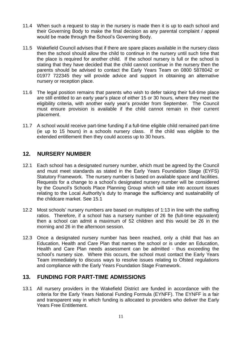- 11.4 When such a request to stay in the nursery is made then it is up to each school and their Governing Body to make the final decision as any parental complaint / appeal would be made through the School's Governing Body.
- 11.5 Wakefield Council advises that if there are spare places available in the nursery class then the school should allow the child to continue in the nursery until such time that the place is required for another child. If the school nursery is full or the school is stating that they have decided that the child cannot continue in the nursery then the parents should be advised to contact the Early Years Team on 0800 5878042 or 01977 722345 they will provide advice and support in obtaining an alternative nursery or reception place.
- 11.6 The legal position remains that parents who wish to defer taking their full-time place are still entitled to an early year's place of either 15 or 30 hours, where they meet the eligibility criteria, with another early year's provider from September. The Council must ensure provision is available if the child cannot remain in their current placement.
- 11.7 A school would receive part-time funding if a full-time eligible child remained part-time (ie up to 15 hours) in a schools nursery class. If the child was eligible to the extended entitlement then they could access up to 30 hours.

## **12. NURSERY NUMBER**

- 12.1 Each school has a designated nursery number, which must be agreed by the Council and must meet standards as stated in the Early Years Foundation Stage (EYFS) Statutory Framework. The nursery number is based on available space and facilities. Requests for a change to a school's designated nursery number will be considered by the Council's Schools Place Planning Group which will take into account issues relating to the Local Authority's duty to manage the sufficiency and sustainability of the childcare market. See 15.1
- 12.2 Most schools' nursery numbers are based on multiples of 1:13 in line with the staffing ratios. Therefore, if a school has a nursery number of 26 fte (full-time equivalent) then a school can admit a maximum of 52 children and this would be 26 in the morning and 26 in the afternoon session.
- 12.3 Once a designated nursery number has been reached, only a child that has an Education, Health and Care Plan that names the school or is under an Education, Health and Care Plan needs assessment can be admitted - thus exceeding the school's nursery size. Where this occurs, the school must contact the Early Years Team immediately to discuss ways to resolve issues relating to Ofsted regulations and compliance with the Early Years Foundation Stage Framework.

# **13. FUNDING FOR PART-TIME ADMISSIONS**

13.1 All nursery providers in the Wakefield District are funded in accordance with the criteria for the Early Years National Funding Formula (EYNFF). The EYNFF is a fair and transparent way in which funding is allocated to providers who deliver the Early Years Free Entitlement.